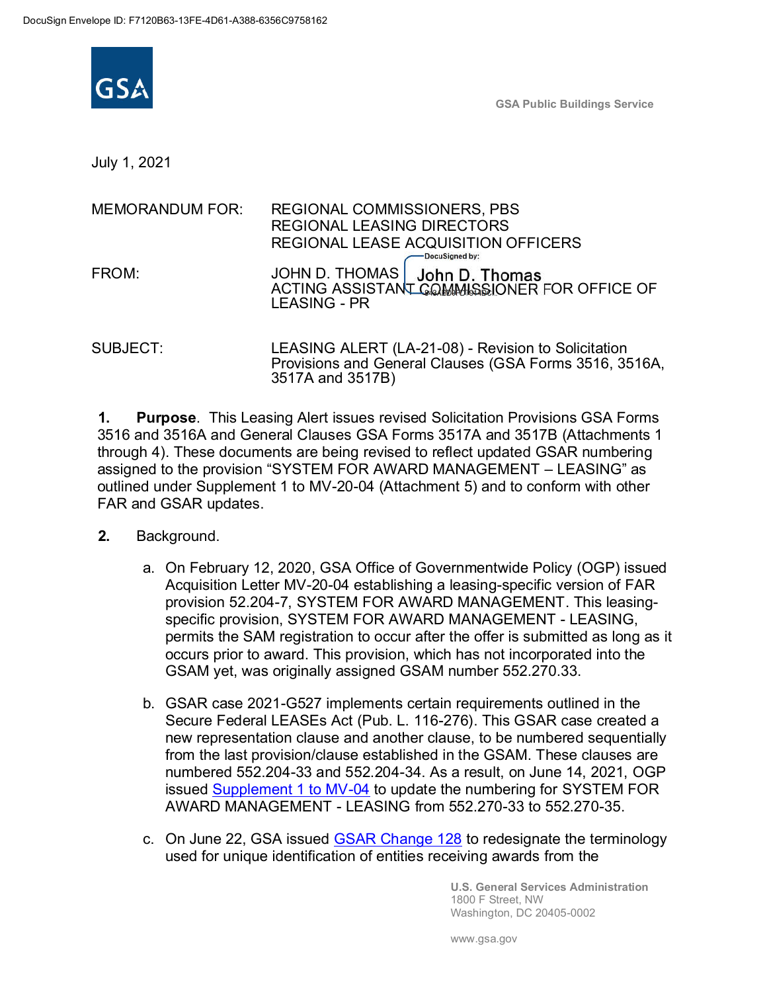

**GSA Public Buildings Service**

July 1, 2021

| <b>MEMORANDUM FOR:</b> | REGIONAL COMMISSIONERS, PBS                                                                           |
|------------------------|-------------------------------------------------------------------------------------------------------|
|                        | <b>REGIONAL LEASING DIRECTORS</b>                                                                     |
|                        | REGIONAL LEASE ACQUISITION OFFICERS<br>DocuSigned by:                                                 |
| FROM:                  | JOHN D. THOMAS   John D. Thomas<br>ACTING ASSISTANT COMMISSIONER FOR OFFICE OF<br><b>LEASING - PR</b> |
|                        |                                                                                                       |

SUBJECT: LEASING ALERT (LA-21-08) - Revision to Solicitation Provisions and General Clauses (GSA Forms 3516, 3516A, 3517A and 3517B)

**1. Purpose**. This Leasing Alert issues revised Solicitation Provisions GSA Forms 3516 and 3516A and General Clauses GSA Forms 3517A and 3517B (Attachments 1 through 4). These documents are being revised to reflect updated GSAR numbering assigned to the provision "SYSTEM FOR AWARD MANAGEMENT – LEASING" as outlined under Supplement 1 to MV-20-04 (Attachment 5) and to conform with other FAR and GSAR updates.

## **2.** Background.

- a. On February 12, 2020, GSA Office of Governmentwide Policy (OGP) issued Acquisition Letter MV-20-04 establishing a leasing-specific version of FAR provision 52.204-7, SYSTEM FOR AWARD MANAGEMENT. This leasingspecific provision, SYSTEM FOR AWARD MANAGEMENT - LEASING, permits the SAM registration to occur after the offer is submitted as long as it occurs prior to award. This provision, which has not incorporated into the GSAM yet, was originally assigned GSAM number 552.270.33.
- b. GSAR case 2021-G527 implements certain requirements outlined in the Secure Federal LEASEs Act (Pub. L. 116-276). This GSAR case created a new representation clause and another clause, to be numbered sequentially from the last provision/clause established in the GSAM. These clauses are numbered 552.204-33 and 552.204-34. As a result, on June 14, 2021, OGP issued Supplement 1 to MV-04 to update the numbering for SYSTEM FOR AWARD MANAGEMENT - LEASING from 552.270-33 to 552.270-35.
- c. On June 22, GSA issued **GSAR Change 128** to redesignate the terminology used for unique identification of entities receiving awards from the

**U.S. General Services Administration** 1800 F Street, NW Washington, DC 20405-0002

www.gsa.gov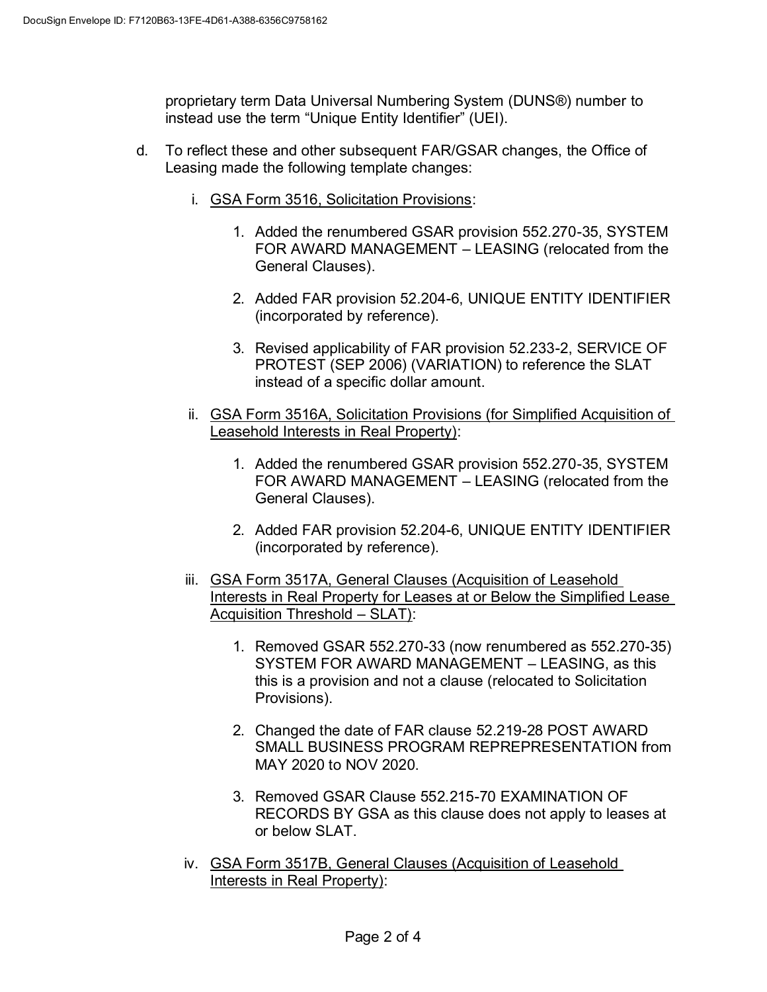proprietary term Data Universal Numbering System (DUNS®) number to instead use the term "Unique Entity Identifier" (UEI).

- d. To reflect these and other subsequent FAR/GSAR changes, the Office of Leasing made the following template changes:
	- i. GSA Form 3516, Solicitation Provisions:
		- 1. Added the renumbered GSAR provision 552.270-35, SYSTEM FOR AWARD MANAGEMENT – LEASING (relocated from the General Clauses).
		- 2. Added FAR provision 52.204-6, UNIQUE ENTITY IDENTIFIER (incorporated by reference).
		- 3. Revised applicability of FAR provision 52.233-2, SERVICE OF PROTEST (SEP 2006) (VARIATION) to reference the SLAT instead of a specific dollar amount.
	- ii. GSA Form 3516A, Solicitation Provisions (for Simplified Acquisition of Leasehold Interests in Real Property):
		- 1. Added the renumbered GSAR provision 552.270-35, SYSTEM FOR AWARD MANAGEMENT – LEASING (relocated from the General Clauses).
		- 2. Added FAR provision 52.204-6, UNIQUE ENTITY IDENTIFIER (incorporated by reference).
	- iii. GSA Form 3517A, General Clauses (Acquisition of Leasehold Interests in Real Property for Leases at or Below the Simplified Lease Acquisition Threshold – SLAT):
		- 1. Removed GSAR 552.270-33 (now renumbered as 552.270-35) SYSTEM FOR AWARD MANAGEMENT – LEASING, as this this is a provision and not a clause (relocated to Solicitation Provisions).
		- 2. Changed the date of FAR clause 52.219-28 POST AWARD SMALL BUSINESS PROGRAM REPREPRESENTATION from MAY 2020 to NOV 2020.
		- 3. Removed GSAR Clause 552.215-70 EXAMINATION OF RECORDS BY GSA as this clause does not apply to leases at or below SLAT.
	- iv. GSA Form 3517B, General Clauses (Acquisition of Leasehold Interests in Real Property):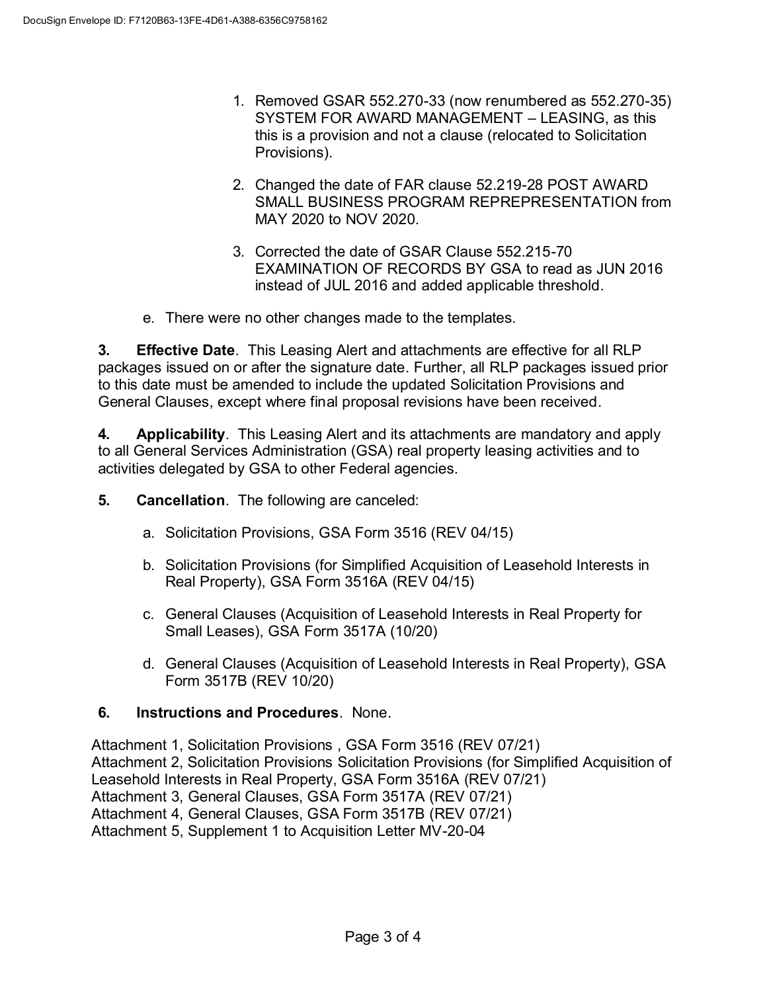- 1. Removed GSAR 552.270-33 (now renumbered as 552.270-35) SYSTEM FOR AWARD MANAGEMENT – LEASING, as this this is a provision and not a clause (relocated to Solicitation Provisions).
- 2. Changed the date of FAR clause 52.219-28 POST AWARD SMALL BUSINESS PROGRAM REPREPRESENTATION from MAY 2020 to NOV 2020.
- 3. Corrected the date of GSAR Clause 552.215-70 EXAMINATION OF RECORDS BY GSA to read as JUN 2016 instead of JUL 2016 and added applicable threshold.
- e. There were no other changes made to the templates.

**3. Effective Date**. This Leasing Alert and attachments are effective for all RLP packages issued on or after the signature date. Further, all RLP packages issued prior to this date must be amended to include the updated Solicitation Provisions and General Clauses, except where final proposal revisions have been received.

**4. Applicability**. This Leasing Alert and its attachments are mandatory and apply to all General Services Administration (GSA) real property leasing activities and to activities delegated by GSA to other Federal agencies.

**5. Cancellation**. The following are canceled:

- a. Solicitation Provisions, GSA Form 3516 (REV 04/15)
- b. Solicitation Provisions (for Simplified Acquisition of Leasehold Interests in Real Property), GSA Form 3516A (REV 04/15)
- c. General Clauses (Acquisition of Leasehold Interests in Real Property for Small Leases), GSA Form 3517A (10/20)
- d. General Clauses (Acquisition of Leasehold Interests in Real Property), GSA Form 3517B (REV 10/20)

## **6. Instructions and Procedures**. None.

Attachment 1, Solicitation Provisions , GSA Form 3516 (REV 07/21) Attachment 2, Solicitation Provisions Solicitation Provisions (for Simplified Acquisition of Leasehold Interests in Real Property, GSA Form 3516A (REV 07/21) Attachment 3, General Clauses, GSA Form 3517A (REV 07/21) Attachment 4, General Clauses, GSA Form 3517B (REV 07/21) Attachment 5, Supplement 1 to Acquisition Letter MV-20-04